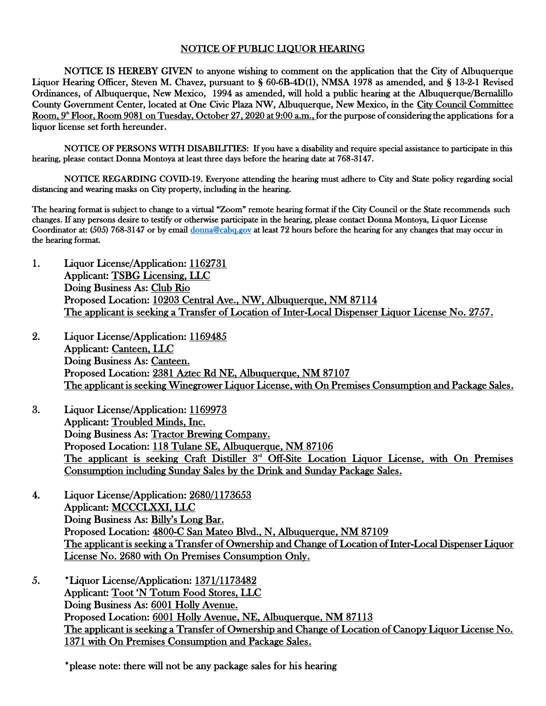## NOTICE OF PUBLIC LIQUOR HEARING

NOTICE IS HEREBY GIVEN to anyone wishing to comment on the application that the City of Albuquerque Liquor Hearing Officer, Steven M. Chavez, pursuant to § 60-6B-4D(1), NMSA 1978 as amended, and § 13-2-1 Revised Ordinances, of Albuquerque, New Mexico, 1994 as amended, will hold a public hearing at the Albuquerque/Bernalillo County Government Center, located at One Civic Plaza NW, Albuquerque, New Mexico, in the City Council Committee Room, 9<sup>\*</sup> Floor, Room 9081 on Tuesday, October 27, 2020 at 9:00 a.m., for the purpose of considering the applications for a liquor license set forth hereunder.

NOTICE OF PERSONS WITH DISABILITIES: If you have a disability and require special assistance to participate in this hearing, please contact Donna Montoya at least three days before the hearing date at 768-3147.

NOTICE REGARDING COVID-19. Everyone attending the hearing must adhere to City and State policy regarding social distancing and wearing masks on City property, including in the hearing.

The hearing format is subject to change to a virtual "Zoom" remote hearing format if the City Council or the State recommends such changes. If any persons desire to testify or otherwise participate in the hearing, please contact Donna Montoya, Li quor License Coordinator at: (505) 768-3147 or by email [donna@cabq.gov](mailto:donna@cabq.gov) at least 72 hours before the hearing for any changes that may occur in the hearing format.

- 1. Liquor License/Application: 1162731 Applicant: TSBG Licensing, LLC Doing Business As: Club Rio Proposed Location: 10203 Central Ave., NW, Albuquerque, NM 87114 The applicant is seeking a Transfer of Location of Inter-Local Dispenser Liquor License No. 2757.
- 2. Liquor License/Application: 1169485 Applicant: Canteen, LLC Doing Business As: Canteen. Proposed Location: 2381 Aztec Rd NE, Albuquerque, NM 87107 The applicant is seeking Winegrower Liquor License, with On Premises Consumption and Package Sales.
- 3. Liquor License/Application: 1169973 Applicant: Troubled Minds, Inc. Doing Business As: Tractor Brewing Company. Proposed Location: 118 Tulane SE, Albuquerque, NM 87106 The applicant is seeking Craft Distiller 3<sup>rd</sup> Off-Site Location Liquor License, with On Premises Consumption including Sunday Sales by the Drink and Sunday Package Sales.
- 4. Liquor License/Application: 2680/1173653 Applicant: MCCCLXXI, LLC Doing Business As: Billy's Long Bar. Proposed Location: 4800-C San Mateo Blvd., N, Albuquerque, NM 87109 The applicant is seeking a Transfer of Ownership and Change of Location of Inter-Local Dispenser Liquor License No. 2680 with On Premises Consumption Only.
- 5. \*Liquor License/Application: 1371/1173482 Applicant: Toot 'N Totum Food Stores, LLC Doing Business As: 6001 Holly Avenue. Proposed Location: 6001 Holly Avenue, NE, Albuquerque, NM 87113 The applicant is seeking a Transfer of Ownership and Change of Location of Canopy Liquor License No. 1371 with On Premises Consumption and Package Sales.

\*please note: there will not be any package sales for his hearing